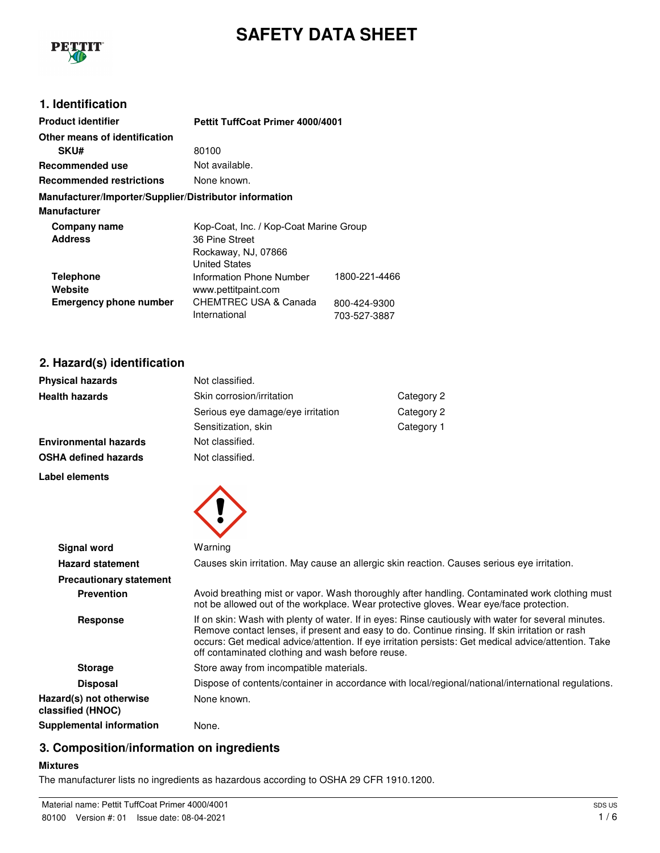

# **SAFETY DATA SHEET**

## **1. Identification**

| <b>Product identifier</b>                              | <b>Pettit TuffCoat Primer 4000/4001</b>                  |                              |
|--------------------------------------------------------|----------------------------------------------------------|------------------------------|
| Other means of identification                          |                                                          |                              |
| <b>SKU#</b>                                            | 80100                                                    |                              |
| Recommended use                                        | Not available.                                           |                              |
| <b>Recommended restrictions</b>                        | None known.                                              |                              |
| Manufacturer/Importer/Supplier/Distributor information |                                                          |                              |
| <b>Manufacturer</b>                                    |                                                          |                              |
| Company name<br><b>Address</b>                         | Kop-Coat, Inc. / Kop-Coat Marine Group<br>36 Pine Street |                              |
|                                                        | Rockaway, NJ, 07866<br><b>United States</b>              |                              |
| <b>Telephone</b><br>Website                            | Information Phone Number<br>www.pettitpaint.com          | 1800-221-4466                |
| <b>Emergency phone number</b>                          | CHEMTREC USA & Canada<br>International                   | 800-424-9300<br>703-527-3887 |

## **2. Hazard(s) identification**

| <b>Physical hazards</b>      | Not classified.                   |            |
|------------------------------|-----------------------------------|------------|
| <b>Health hazards</b>        | Skin corrosion/irritation         | Category 2 |
|                              | Serious eye damage/eye irritation | Category 2 |
|                              | Sensitization, skin               | Category 1 |
| <b>Environmental hazards</b> | Not classified.                   |            |
| OSHA defined hazards         | Not classified.                   |            |

#### **Label elements**



| <b>Signal word</b>                           | Warning                                                                                                                                                                                                                                                                                                                                                           |
|----------------------------------------------|-------------------------------------------------------------------------------------------------------------------------------------------------------------------------------------------------------------------------------------------------------------------------------------------------------------------------------------------------------------------|
| <b>Hazard statement</b>                      | Causes skin irritation. May cause an allergic skin reaction. Causes serious eye irritation.                                                                                                                                                                                                                                                                       |
| <b>Precautionary statement</b>               |                                                                                                                                                                                                                                                                                                                                                                   |
| <b>Prevention</b>                            | Avoid breathing mist or vapor. Wash thoroughly after handling. Contaminated work clothing must<br>not be allowed out of the workplace. Wear protective gloves. Wear eye/face protection.                                                                                                                                                                          |
| Response                                     | If on skin: Wash with plenty of water. If in eyes: Rinse cautiously with water for several minutes.<br>Remove contact lenses, if present and easy to do. Continue rinsing. If skin irritation or rash<br>occurs: Get medical advice/attention. If eye irritation persists: Get medical advice/attention. Take<br>off contaminated clothing and wash before reuse. |
| <b>Storage</b>                               | Store away from incompatible materials.                                                                                                                                                                                                                                                                                                                           |
| <b>Disposal</b>                              | Dispose of contents/container in accordance with local/regional/national/international regulations.                                                                                                                                                                                                                                                               |
| Hazard(s) not otherwise<br>classified (HNOC) | None known.                                                                                                                                                                                                                                                                                                                                                       |
| Supplemental information                     | None.                                                                                                                                                                                                                                                                                                                                                             |

## **3. Composition/information on ingredients**

#### **Mixtures**

The manufacturer lists no ingredients as hazardous according to OSHA 29 CFR 1910.1200.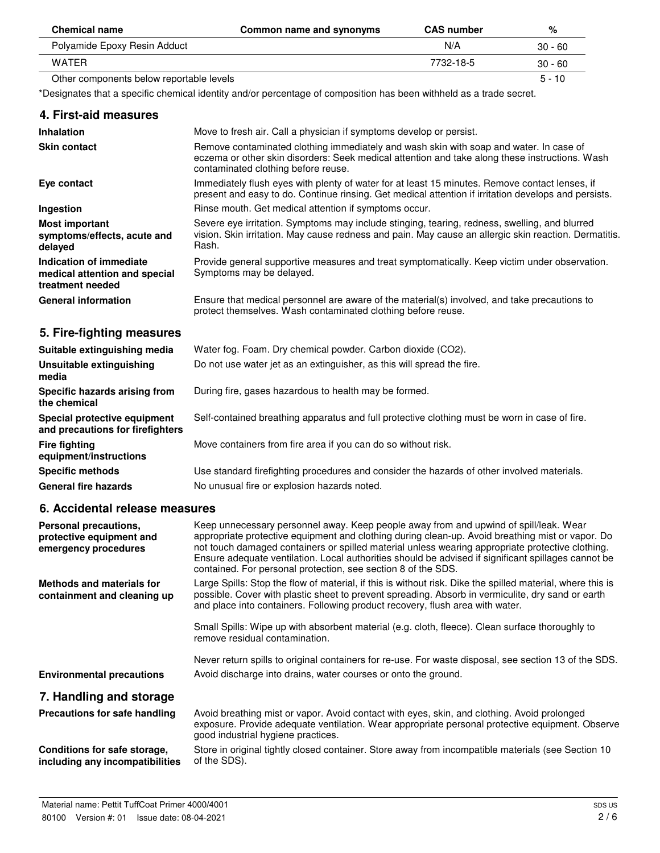| <b>Chemical name</b>                     | Common name and synonyms | <b>CAS number</b> | %         |
|------------------------------------------|--------------------------|-------------------|-----------|
| Polyamide Epoxy Resin Adduct             |                          | N/A               | $30 - 60$ |
| WATFR                                    |                          | 7732-18-5         | $30 - 60$ |
| Other components below reportable levels |                          |                   | $5 - 10$  |

\*Designates that a specific chemical identity and/or percentage of composition has been withheld as a trade secret.

| 4. First-aid measures                                                        |                                                                                                                                                                                                                                 |
|------------------------------------------------------------------------------|---------------------------------------------------------------------------------------------------------------------------------------------------------------------------------------------------------------------------------|
| <b>Inhalation</b>                                                            | Move to fresh air. Call a physician if symptoms develop or persist.                                                                                                                                                             |
| <b>Skin contact</b>                                                          | Remove contaminated clothing immediately and wash skin with soap and water. In case of<br>eczema or other skin disorders: Seek medical attention and take along these instructions. Wash<br>contaminated clothing before reuse. |
| Eye contact                                                                  | Immediately flush eyes with plenty of water for at least 15 minutes. Remove contact lenses, if<br>present and easy to do. Continue rinsing. Get medical attention if irritation develops and persists.                          |
| Ingestion                                                                    | Rinse mouth. Get medical attention if symptoms occur.                                                                                                                                                                           |
| <b>Most important</b><br>symptoms/effects, acute and<br>delayed              | Severe eye irritation. Symptoms may include stinging, tearing, redness, swelling, and blurred<br>vision. Skin irritation. May cause redness and pain. May cause an allergic skin reaction. Dermatitis.<br>Rash.                 |
| Indication of immediate<br>medical attention and special<br>treatment needed | Provide general supportive measures and treat symptomatically. Keep victim under observation.<br>Symptoms may be delayed.                                                                                                       |
| <b>General information</b>                                                   | Ensure that medical personnel are aware of the material(s) involved, and take precautions to<br>protect themselves. Wash contaminated clothing before reuse.                                                                    |
| 5. Fire-fighting measures                                                    |                                                                                                                                                                                                                                 |
| Suitable extinguishing media                                                 | Water fog. Foam. Dry chemical powder. Carbon dioxide (CO2).                                                                                                                                                                     |
| Unsuitable extinguishing<br>media                                            | Do not use water jet as an extinguisher, as this will spread the fire.                                                                                                                                                          |
| Specific hazards arising from<br>the chemical                                | During fire, gases hazardous to health may be formed.                                                                                                                                                                           |
| Special protective equipment<br>and precautions for firefighters             | Self-contained breathing apparatus and full protective clothing must be worn in case of fire.                                                                                                                                   |
| <b>Fire fighting</b><br>equipment/instructions                               | Move containers from fire area if you can do so without risk.                                                                                                                                                                   |
| <b>Specific methods</b>                                                      | Use standard firefighting procedures and consider the hazards of other involved materials.                                                                                                                                      |
| <b>General fire hazards</b>                                                  | No unusual fire or explosion hazards noted.                                                                                                                                                                                     |
| 6. Accidental release measures                                               |                                                                                                                                                                                                                                 |
| Personal precautions,<br>protective equipment and                            | Keep unnecessary personnel away. Keep people away from and upwind of spill/leak. Wear<br>appropriate protective equipment and clothing during clean-up. Avoid breathing mist or vapor. Do                                       |

| 7. Handling and storage                                         |                                                                                                                                                                                                                                                                                                                                                                              |
|-----------------------------------------------------------------|------------------------------------------------------------------------------------------------------------------------------------------------------------------------------------------------------------------------------------------------------------------------------------------------------------------------------------------------------------------------------|
| <b>Environmental precautions</b>                                | Avoid discharge into drains, water courses or onto the ground.                                                                                                                                                                                                                                                                                                               |
|                                                                 | Never return spills to original containers for re-use. For waste disposal, see section 13 of the SDS.                                                                                                                                                                                                                                                                        |
|                                                                 | Small Spills: Wipe up with absorbent material (e.g. cloth, fleece). Clean surface thoroughly to<br>remove residual contamination.                                                                                                                                                                                                                                            |
| <b>Methods and materials for</b><br>containment and cleaning up | Large Spills: Stop the flow of material, if this is without risk. Dike the spilled material, where this is<br>possible. Cover with plastic sheet to prevent spreading. Absorb in vermiculite, dry sand or earth<br>and place into containers. Following product recovery, flush area with water.                                                                             |
| protective equipment and<br>emergency procedures                | appropriate protective equipment and clothing during clean-up. Avoid breathing mist or vapor. Do<br>not touch damaged containers or spilled material unless wearing appropriate protective clothing.<br>Ensure adequate ventilation. Local authorities should be advised if significant spillages cannot be<br>contained. For personal protection, see section 8 of the SDS. |

#### **Precautions for safe handling** Avoid breathing mist or vapor. Avoid contact with eyes, skin, and clothing. Avoid prolonged exposure. Provide adequate ventilation. Wear appropriate personal protective equipment. Observe good industrial hygiene practices. **Conditions for safe storage, including any incompatibilities** Store in original tightly closed container. Store away from incompatible materials (see Section 10 of the SDS).

 $\overline{a}$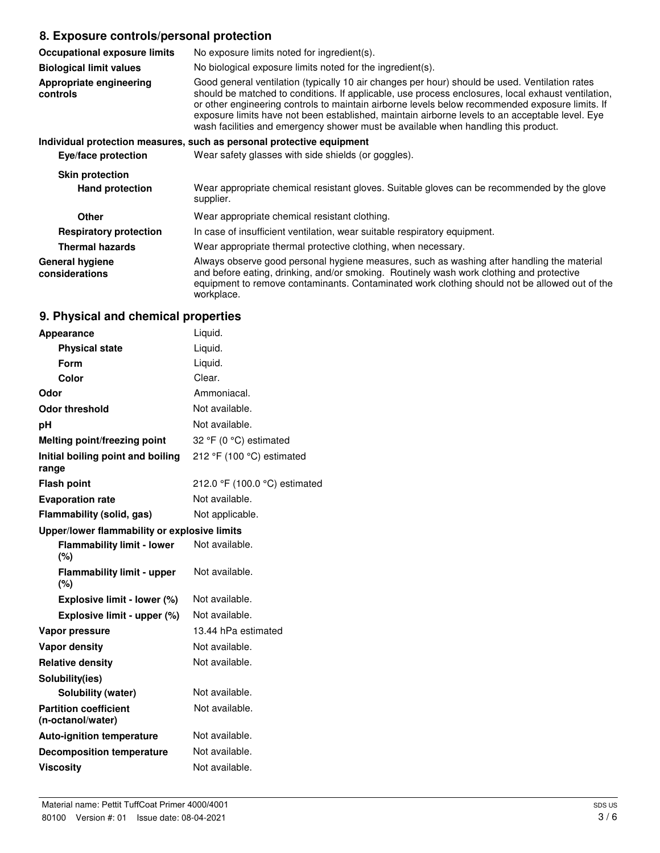## **8. Exposure controls/personal protection**

| <b>Occupational exposure limits</b>      | No exposure limits noted for ingredient(s).                                                                                                                                                                                                                                                                                                                                                                                                                                                      |
|------------------------------------------|--------------------------------------------------------------------------------------------------------------------------------------------------------------------------------------------------------------------------------------------------------------------------------------------------------------------------------------------------------------------------------------------------------------------------------------------------------------------------------------------------|
| <b>Biological limit values</b>           | No biological exposure limits noted for the ingredient(s).                                                                                                                                                                                                                                                                                                                                                                                                                                       |
| Appropriate engineering<br>controls      | Good general ventilation (typically 10 air changes per hour) should be used. Ventilation rates<br>should be matched to conditions. If applicable, use process enclosures, local exhaust ventilation,<br>or other engineering controls to maintain airborne levels below recommended exposure limits. If<br>exposure limits have not been established, maintain airborne levels to an acceptable level. Eye<br>wash facilities and emergency shower must be available when handling this product. |
|                                          | Individual protection measures, such as personal protective equipment                                                                                                                                                                                                                                                                                                                                                                                                                            |
| Eye/face protection                      | Wear safety glasses with side shields (or goggles).                                                                                                                                                                                                                                                                                                                                                                                                                                              |
| <b>Skin protection</b>                   |                                                                                                                                                                                                                                                                                                                                                                                                                                                                                                  |
| <b>Hand protection</b>                   | Wear appropriate chemical resistant gloves. Suitable gloves can be recommended by the glove<br>supplier.                                                                                                                                                                                                                                                                                                                                                                                         |
| <b>Other</b>                             | Wear appropriate chemical resistant clothing.                                                                                                                                                                                                                                                                                                                                                                                                                                                    |
| <b>Respiratory protection</b>            | In case of insufficient ventilation, wear suitable respiratory equipment.                                                                                                                                                                                                                                                                                                                                                                                                                        |
| <b>Thermal hazards</b>                   | Wear appropriate thermal protective clothing, when necessary.                                                                                                                                                                                                                                                                                                                                                                                                                                    |
| <b>General hygiene</b><br>considerations | Always observe good personal hygiene measures, such as washing after handling the material<br>and before eating, drinking, and/or smoking. Routinely wash work clothing and protective<br>equipment to remove contaminants. Contaminated work clothing should not be allowed out of the                                                                                                                                                                                                          |

## **9. Physical and chemical properties**

workplace.

| <b>Appearance</b>                                 | Liquid.                       |  |
|---------------------------------------------------|-------------------------------|--|
| <b>Physical state</b>                             | Liquid.                       |  |
| Form                                              | Liquid.                       |  |
| Color                                             | Clear.                        |  |
| Odor                                              | Ammoniacal.                   |  |
| Odor threshold                                    | Not available.                |  |
| рH                                                | Not available.                |  |
| <b>Melting point/freezing point</b>               | 32 °F (0 °C) estimated        |  |
| Initial boiling point and boiling<br>range        | 212 °F (100 °C) estimated     |  |
| <b>Flash point</b>                                | 212.0 °F (100.0 °C) estimated |  |
| <b>Evaporation rate</b>                           | Not available.                |  |
| Flammability (solid, gas)                         | Not applicable.               |  |
| Upper/lower flammability or explosive limits      |                               |  |
| <b>Flammability limit - lower</b><br>(%)          | Not available.                |  |
| <b>Flammability limit - upper</b><br>(%)          | Not available.                |  |
| Explosive limit - lower (%)                       | Not available.                |  |
| Explosive limit - upper (%)                       | Not available.                |  |
| Vapor pressure                                    | 13.44 hPa estimated           |  |
| <b>Vapor density</b>                              | Not available.                |  |
| <b>Relative density</b>                           | Not available.                |  |
| Solubility(ies)                                   |                               |  |
| <b>Solubility (water)</b>                         | Not available.                |  |
| <b>Partition coefficient</b><br>(n-octanol/water) | Not available.                |  |
| <b>Auto-ignition temperature</b>                  | Not available.                |  |
| <b>Decomposition temperature</b>                  | Not available.                |  |
| <b>Viscositv</b>                                  | Not available.                |  |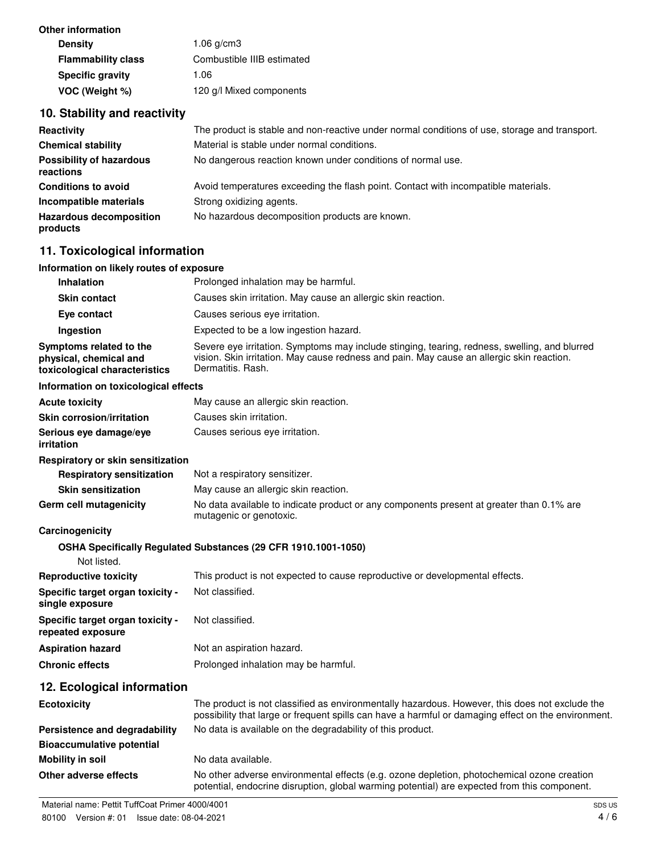| $1.06$ g/cm $3$            |
|----------------------------|
| Combustible IIIB estimated |
| 1.06                       |
| 120 g/l Mixed components   |
|                            |

## **10. Stability and reactivity**

| Reactivity                                   | The product is stable and non-reactive under normal conditions of use, storage and transport. |
|----------------------------------------------|-----------------------------------------------------------------------------------------------|
| <b>Chemical stability</b>                    | Material is stable under normal conditions.                                                   |
| <b>Possibility of hazardous</b><br>reactions | No dangerous reaction known under conditions of normal use.                                   |
| <b>Conditions to avoid</b>                   | Avoid temperatures exceeding the flash point. Contact with incompatible materials.            |
| Incompatible materials                       | Strong oxidizing agents.                                                                      |
| <b>Hazardous decomposition</b><br>products   | No hazardous decomposition products are known.                                                |

## **11. Toxicological information**

#### **Information on likely routes of exposure**

| <b>Inhalation</b>                                                                  | Prolonged inhalation may be harmful.                                                                                                                                                                            |
|------------------------------------------------------------------------------------|-----------------------------------------------------------------------------------------------------------------------------------------------------------------------------------------------------------------|
| <b>Skin contact</b>                                                                | Causes skin irritation. May cause an allergic skin reaction.                                                                                                                                                    |
| Eye contact                                                                        | Causes serious eye irritation.                                                                                                                                                                                  |
| <b>Ingestion</b>                                                                   | Expected to be a low ingestion hazard.                                                                                                                                                                          |
| Symptoms related to the<br>physical, chemical and<br>toxicological characteristics | Severe eye irritation. Symptoms may include stinging, tearing, redness, swelling, and blurred<br>vision. Skin irritation. May cause redness and pain. May cause an allergic skin reaction.<br>Dermatitis, Rash. |

#### **Information on toxicological effects**

| <b>Acute toxicity</b>                    | May cause an allergic skin reaction. |
|------------------------------------------|--------------------------------------|
| <b>Skin corrosion/irritation</b>         | Causes skin irritation.              |
| Serious eye damage/eye<br>irritation     | Causes serious eve irritation.       |
| <b>Respiratory or skin sensitization</b> |                                      |

| <b>Respiratory sensitization</b> | Not a respiratory sensitizer.                                                                                       |
|----------------------------------|---------------------------------------------------------------------------------------------------------------------|
| <b>Skin sensitization</b>        | May cause an allergic skin reaction.                                                                                |
| Germ cell mutagenicity           | No data available to indicate product or any components present at greater than 0.1% are<br>mutagenic or genotoxic. |

### **Carcinogenicity**

### **OSHA Specifically Regulated Substances (29 CFR 1910.1001-1050)**

| Not listed.                                           |                                                                              |
|-------------------------------------------------------|------------------------------------------------------------------------------|
| <b>Reproductive toxicity</b>                          | This product is not expected to cause reproductive or developmental effects. |
| Specific target organ toxicity -<br>single exposure   | Not classified.                                                              |
| Specific target organ toxicity -<br>repeated exposure | Not classified.                                                              |
| <b>Aspiration hazard</b>                              | Not an aspiration hazard.                                                    |
| <b>Chronic effects</b>                                | Prolonged inhalation may be harmful.                                         |
|                                                       |                                                                              |

## **12. Ecological information**

| <b>Ecotoxicity</b>               | The product is not classified as environmentally hazardous. However, this does not exclude the<br>possibility that large or frequent spills can have a harmful or damaging effect on the environment. |  |
|----------------------------------|-------------------------------------------------------------------------------------------------------------------------------------------------------------------------------------------------------|--|
| Persistence and degradability    | No data is available on the degradability of this product.                                                                                                                                            |  |
| <b>Bioaccumulative potential</b> |                                                                                                                                                                                                       |  |
| Mobility in soil                 | No data available.                                                                                                                                                                                    |  |
| Other adverse effects            | No other adverse environmental effects (e.g. ozone depletion, photochemical ozone creation<br>potential, endocrine disruption, global warming potential) are expected from this component.            |  |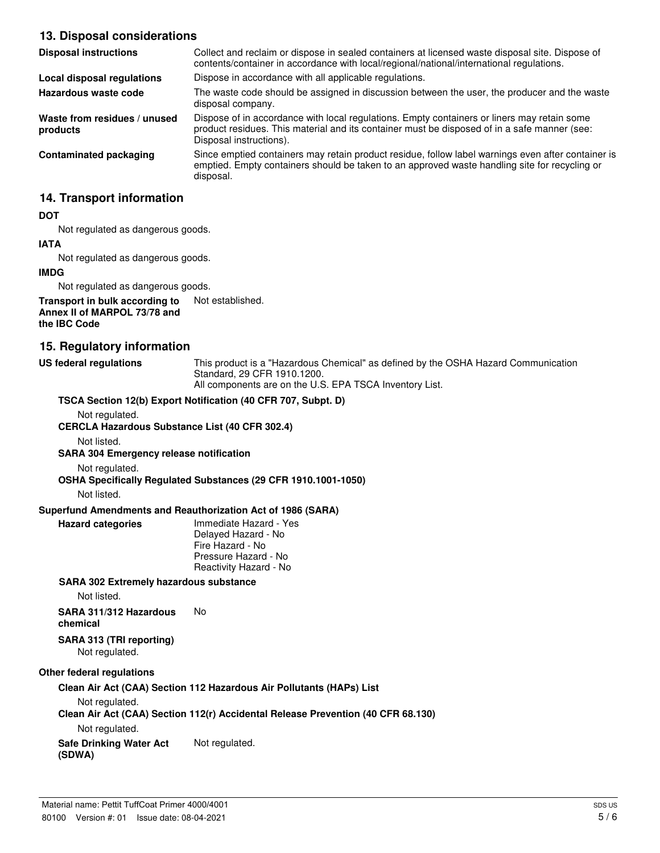## **13. Disposal considerations**

| contents/container in accordance with local/regional/national/international regulations.                                                                                                            |
|-----------------------------------------------------------------------------------------------------------------------------------------------------------------------------------------------------|
|                                                                                                                                                                                                     |
| The waste code should be assigned in discussion between the user, the producer and the waste                                                                                                        |
| Dispose of in accordance with local regulations. Empty containers or liners may retain some<br>product residues. This material and its container must be disposed of in a safe manner (see:         |
| Since emptied containers may retain product residue, follow label warnings even after container is<br>emptied. Empty containers should be taken to an approved waste handling site for recycling or |
|                                                                                                                                                                                                     |

## **14. Transport information**

#### **DOT**

Not regulated as dangerous goods.

### **IATA** Not regulated as dangerous goods.

**IMDG**

Not regulated as dangerous goods.

#### **Transport in bulk according to** Not established. **Annex II of MARPOL 73/78 and the IBC Code**

### **15. Regulatory information**

**US federal regulations** This product is a "Hazardous Chemical" as defined by the OSHA Hazard Communication Standard, 29 CFR 1910.1200. All components are on the U.S. EPA TSCA Inventory List.

**TSCA Section 12(b) Export Notification (40 CFR 707, Subpt. D)**

Not regulated.

**CERCLA Hazardous Substance List (40 CFR 302.4)**

Not listed.

**SARA 304 Emergency release notification**

Not regulated.

**OSHA Specifically Regulated Substances (29 CFR 1910.1001-1050)**

Not listed.

#### **Superfund Amendments and Reauthorization Act of 1986 (SARA)**

**Hazard categories** Immediate Hazard - Yes Delayed Hazard - No Fire Hazard - No Pressure Hazard - No Reactivity Hazard - No

#### **SARA 302 Extremely hazardous substance**

Not listed.

**SARA 311/312 Hazardous** No

**chemical**

#### **SARA 313 (TRI reporting)** Not regulated.

#### **Other federal regulations**

**Clean Air Act (CAA) Section 112 Hazardous Air Pollutants (HAPs) List**

Not regulated.

**Clean Air Act (CAA) Section 112(r) Accidental Release Prevention (40 CFR 68.130)**

Not regulated.

**Safe Drinking Water Act** Not regulated.

**(SDWA)**